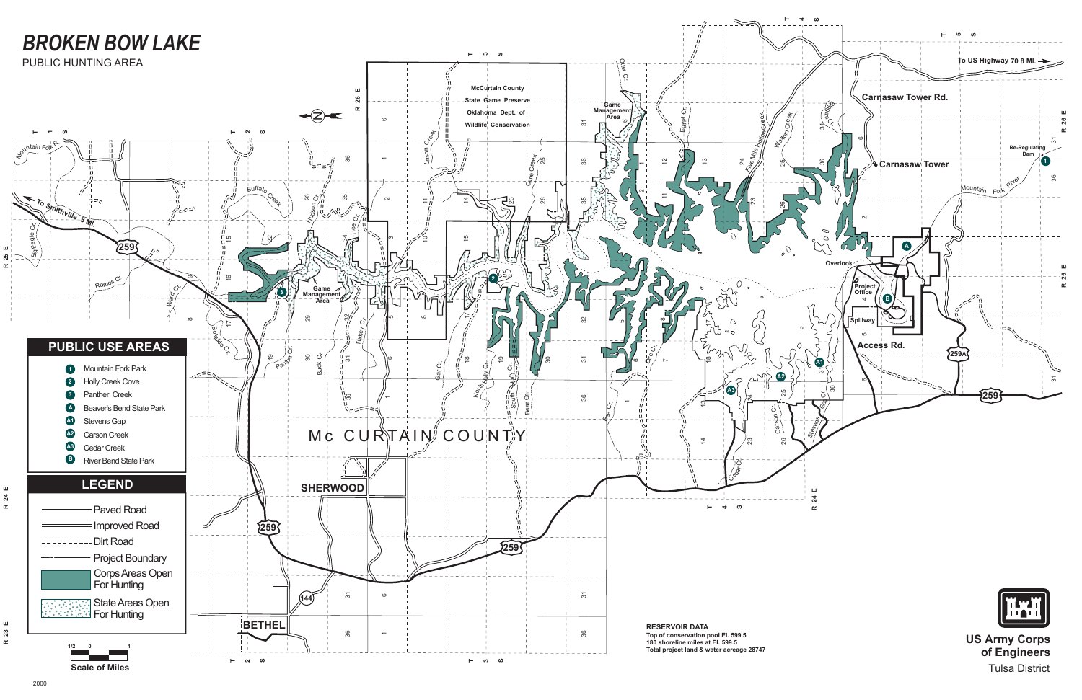

Tulsa District